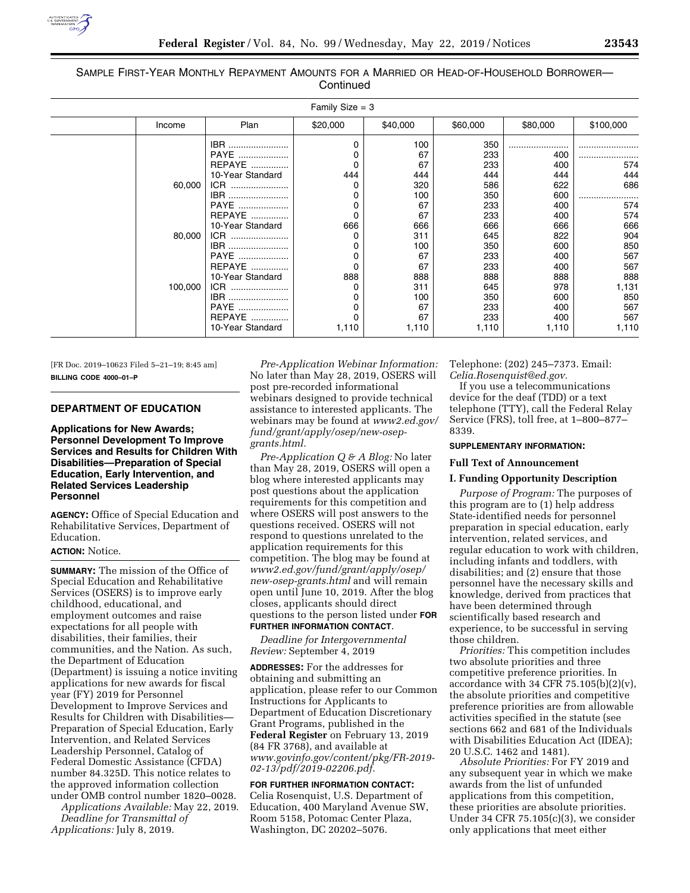

## SAMPLE FIRST-YEAR MONTHLY REPAYMENT AMOUNTS FOR A MARRIED OR HEAD-OF-HOUSEHOLD BORROWER— **Continued**

| Family Size $=$ 3 |                             |                                                                                                                                                                                                        |                                                                               |                                                                                                                    |                                                                                                                            |                                                                                                                     |                                                                                                         |
|-------------------|-----------------------------|--------------------------------------------------------------------------------------------------------------------------------------------------------------------------------------------------------|-------------------------------------------------------------------------------|--------------------------------------------------------------------------------------------------------------------|----------------------------------------------------------------------------------------------------------------------------|---------------------------------------------------------------------------------------------------------------------|---------------------------------------------------------------------------------------------------------|
|                   | Income                      | Plan                                                                                                                                                                                                   | \$20,000                                                                      | \$40,000                                                                                                           | \$60,000                                                                                                                   | \$80,000                                                                                                            | \$100,000                                                                                               |
|                   | 60,000<br>80,000<br>100,000 | IBR<br>PAYE<br>REPAYE<br>10-Year Standard<br>ICR<br>IBR<br>PAYE<br><b>REPAYE</b><br>10-Year Standard<br>ICR<br>IBR<br>PAYE<br><b>REPAYE</b><br>10-Year Standard<br>ICR<br>IBR<br>PAYE<br><b>REPAYE</b> | 0<br>0<br>0<br>444<br>0<br>0<br>0<br>0<br>666<br>0<br>0<br>0<br>888<br>0<br>0 | 100<br>67<br>67<br>444<br>320<br>100<br>67<br>67<br>666<br>311<br>100<br>67<br>67<br>888<br>311<br>100<br>67<br>67 | 350<br>233<br>233<br>444<br>586<br>350<br>233<br>233<br>666<br>645<br>350<br>233<br>233<br>888<br>645<br>350<br>233<br>233 | 400<br>400<br>444<br>622<br>600<br>400<br>400<br>666<br>822<br>600<br>400<br>400<br>888<br>978<br>600<br>400<br>400 | 574<br>444<br>686<br>574<br>574<br>666<br>904<br>850<br>567<br>567<br>888<br>1,131<br>850<br>567<br>567 |
|                   |                             | 10-Year Standard                                                                                                                                                                                       | 1,110                                                                         | 1,110                                                                                                              | 1,110                                                                                                                      | 1,110                                                                                                               | 1,110                                                                                                   |

[FR Doc. 2019–10623 Filed 5–21–19; 8:45 am] **BILLING CODE 4000–01–P** 

# **DEPARTMENT OF EDUCATION**

# **Applications for New Awards; Personnel Development To Improve Services and Results for Children With Disabilities—Preparation of Special Education, Early Intervention, and Related Services Leadership Personnel**

**AGENCY:** Office of Special Education and Rehabilitative Services, Department of Education.

#### **ACTION:** Notice.

**SUMMARY:** The mission of the Office of Special Education and Rehabilitative Services (OSERS) is to improve early childhood, educational, and employment outcomes and raise expectations for all people with disabilities, their families, their communities, and the Nation. As such, the Department of Education (Department) is issuing a notice inviting applications for new awards for fiscal year (FY) 2019 for Personnel Development to Improve Services and Results for Children with Disabilities— Preparation of Special Education, Early Intervention, and Related Services Leadership Personnel, Catalog of Federal Domestic Assistance (CFDA) number 84.325D. This notice relates to the approved information collection under OMB control number 1820–0028.

*Applications Available:* May 22, 2019. *Deadline for Transmittal of Applications:* July 8, 2019.

*Pre-Application Webinar Information:*  No later than May 28, 2019, OSERS will post pre-recorded informational webinars designed to provide technical assistance to interested applicants. The webinars may be found at *[www2.ed.gov/](http://www2.ed.gov/fund/grant/apply/osep/new-osep-grants.html)  [fund/grant/apply/osep/new-osep](http://www2.ed.gov/fund/grant/apply/osep/new-osep-grants.html)[grants.html.](http://www2.ed.gov/fund/grant/apply/osep/new-osep-grants.html)* 

*Pre-Application Q & A Blog:* No later than May 28, 2019, OSERS will open a blog where interested applicants may post questions about the application requirements for this competition and where OSERS will post answers to the questions received. OSERS will not respond to questions unrelated to the application requirements for this competition. The blog may be found at *[www2.ed.gov/fund/grant/apply/osep/](http://www2.ed.gov/fund/grant/apply/osep/new-osep-grants.html)  [new-osep-grants.html](http://www2.ed.gov/fund/grant/apply/osep/new-osep-grants.html)* and will remain open until June 10, 2019. After the blog closes, applicants should direct questions to the person listed under **FOR**

### **FURTHER INFORMATION CONTACT**.

*Deadline for Intergovernmental Review:* September 4, 2019

**ADDRESSES:** For the addresses for obtaining and submitting an application, please refer to our Common Instructions for Applicants to Department of Education Discretionary Grant Programs, published in the **Federal Register** on February 13, 2019 (84 FR 3768), and available at *[www.govinfo.gov/content/pkg/FR-2019-](http://www.govinfo.gov/content/pkg/FR-2019-02-13/pdf/2019-02206.pdf) [02-13/pdf/2019-02206.pdf.](http://www.govinfo.gov/content/pkg/FR-2019-02-13/pdf/2019-02206.pdf)* 

**FOR FURTHER INFORMATION CONTACT:**  Celia Rosenquist, U.S. Department of Education, 400 Maryland Avenue SW, Room 5158, Potomac Center Plaza, Washington, DC 20202–5076.

Telephone: (202) 245–7373. Email: *[Celia.Rosenquist@ed.gov.](mailto:Celia.Rosenquist@ed.gov)* 

If you use a telecommunications device for the deaf (TDD) or a text telephone (TTY), call the Federal Relay Service (FRS), toll free, at 1–800–877– 8339.

#### **SUPPLEMENTARY INFORMATION:**

### **Full Text of Announcement**

### **I. Funding Opportunity Description**

*Purpose of Program:* The purposes of this program are to (1) help address State-identified needs for personnel preparation in special education, early intervention, related services, and regular education to work with children, including infants and toddlers, with disabilities; and (2) ensure that those personnel have the necessary skills and knowledge, derived from practices that have been determined through scientifically based research and experience, to be successful in serving those children.

*Priorities:* This competition includes two absolute priorities and three competitive preference priorities. In accordance with 34 CFR  $75.105(b)(2)(v)$ , the absolute priorities and competitive preference priorities are from allowable activities specified in the statute (see sections 662 and 681 of the Individuals with Disabilities Education Act (IDEA); 20 U.S.C. 1462 and 1481).

*Absolute Priorities:* For FY 2019 and any subsequent year in which we make awards from the list of unfunded applications from this competition, these priorities are absolute priorities. Under 34 CFR 75.105(c)(3), we consider only applications that meet either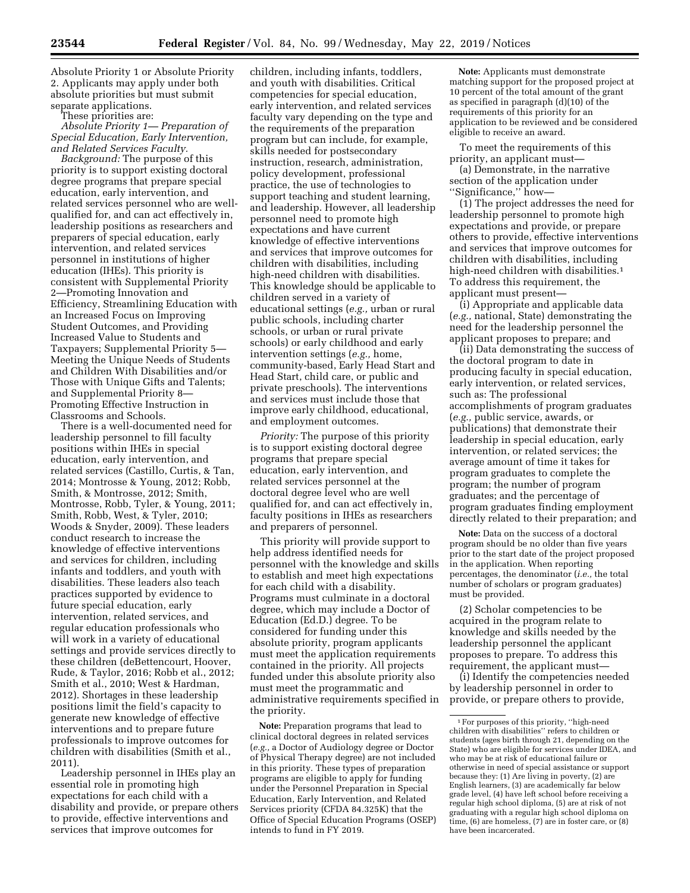Absolute Priority 1 or Absolute Priority 2. Applicants may apply under both absolute priorities but must submit separate applications.

These priorities are:

*Absolute Priority 1— Preparation of Special Education, Early Intervention, and Related Services Faculty.* 

*Background:* The purpose of this priority is to support existing doctoral degree programs that prepare special education, early intervention, and related services personnel who are wellqualified for, and can act effectively in, leadership positions as researchers and preparers of special education, early intervention, and related services personnel in institutions of higher education (IHEs). This priority is consistent with Supplemental Priority 2—Promoting Innovation and Efficiency, Streamlining Education with an Increased Focus on Improving Student Outcomes, and Providing Increased Value to Students and Taxpayers; Supplemental Priority 5— Meeting the Unique Needs of Students and Children With Disabilities and/or Those with Unique Gifts and Talents; and Supplemental Priority 8— Promoting Effective Instruction in Classrooms and Schools.

There is a well-documented need for leadership personnel to fill faculty positions within IHEs in special education, early intervention, and related services (Castillo, Curtis, & Tan, 2014; Montrosse & Young, 2012; Robb, Smith, & Montrosse, 2012; Smith, Montrosse, Robb, Tyler, & Young, 2011; Smith, Robb, West, & Tyler, 2010; Woods & Snyder, 2009). These leaders conduct research to increase the knowledge of effective interventions and services for children, including infants and toddlers, and youth with disabilities. These leaders also teach practices supported by evidence to future special education, early intervention, related services, and regular education professionals who will work in a variety of educational settings and provide services directly to these children (deBettencourt, Hoover, Rude, & Taylor, 2016; Robb et al., 2012; Smith et al., 2010; West & Hardman, 2012). Shortages in these leadership positions limit the field's capacity to generate new knowledge of effective interventions and to prepare future professionals to improve outcomes for children with disabilities (Smith et al., 2011).

Leadership personnel in IHEs play an essential role in promoting high expectations for each child with a disability and provide, or prepare others to provide, effective interventions and services that improve outcomes for

children, including infants, toddlers, and youth with disabilities. Critical competencies for special education, early intervention, and related services faculty vary depending on the type and the requirements of the preparation program but can include, for example, skills needed for postsecondary instruction, research, administration, policy development, professional practice, the use of technologies to support teaching and student learning, and leadership. However, all leadership personnel need to promote high expectations and have current knowledge of effective interventions and services that improve outcomes for children with disabilities, including high-need children with disabilities. This knowledge should be applicable to children served in a variety of educational settings (*e.g.,* urban or rural public schools, including charter schools, or urban or rural private schools) or early childhood and early intervention settings (*e.g.,* home, community-based, Early Head Start and Head Start, child care, or public and private preschools). The interventions and services must include those that improve early childhood, educational, and employment outcomes.

*Priority:* The purpose of this priority is to support existing doctoral degree programs that prepare special education, early intervention, and related services personnel at the doctoral degree level who are well qualified for, and can act effectively in, faculty positions in IHEs as researchers and preparers of personnel.

This priority will provide support to help address identified needs for personnel with the knowledge and skills to establish and meet high expectations for each child with a disability. Programs must culminate in a doctoral degree, which may include a Doctor of Education (Ed.D.) degree. To be considered for funding under this absolute priority, program applicants must meet the application requirements contained in the priority. All projects funded under this absolute priority also must meet the programmatic and administrative requirements specified in the priority.

**Note:** Preparation programs that lead to clinical doctoral degrees in related services (*e.g.,* a Doctor of Audiology degree or Doctor of Physical Therapy degree) are not included in this priority. These types of preparation programs are eligible to apply for funding under the Personnel Preparation in Special Education, Early Intervention, and Related Services priority (CFDA 84.325K) that the Office of Special Education Programs (OSEP) intends to fund in FY 2019.

**Note:** Applicants must demonstrate matching support for the proposed project at 10 percent of the total amount of the grant as specified in paragraph (d)(10) of the requirements of this priority for an application to be reviewed and be considered eligible to receive an award.

To meet the requirements of this priority, an applicant must—

(a) Demonstrate, in the narrative section of the application under ''Significance,'' how—

(1) The project addresses the need for leadership personnel to promote high expectations and provide, or prepare others to provide, effective interventions and services that improve outcomes for children with disabilities, including high-need children with disabilities.<sup>1</sup> To address this requirement, the applicant must present—

(i) Appropriate and applicable data (*e.g.,* national, State) demonstrating the need for the leadership personnel the applicant proposes to prepare; and

(ii) Data demonstrating the success of the doctoral program to date in producing faculty in special education, early intervention, or related services, such as: The professional accomplishments of program graduates (*e.g.,* public service, awards, or publications) that demonstrate their leadership in special education, early intervention, or related services; the average amount of time it takes for program graduates to complete the program; the number of program graduates; and the percentage of program graduates finding employment directly related to their preparation; and

**Note:** Data on the success of a doctoral program should be no older than five years prior to the start date of the project proposed in the application. When reporting percentages, the denominator (*i.e.,* the total number of scholars or program graduates) must be provided.

(2) Scholar competencies to be acquired in the program relate to knowledge and skills needed by the leadership personnel the applicant proposes to prepare. To address this requirement, the applicant must—

(i) Identify the competencies needed by leadership personnel in order to provide, or prepare others to provide,

 $^{\rm 1}\!$  For purposes of this priority, ''high-need children with disabilities'' refers to children or students (ages birth through 21, depending on the State) who are eligible for services under IDEA, and who may be at risk of educational failure or otherwise in need of special assistance or support because they: (1) Are living in poverty, (2) are English learners, (3) are academically far below grade level, (4) have left school before receiving a regular high school diploma, (5) are at risk of not graduating with a regular high school diploma on time, (6) are homeless, (7) are in foster care, or (8) have been incarcerated.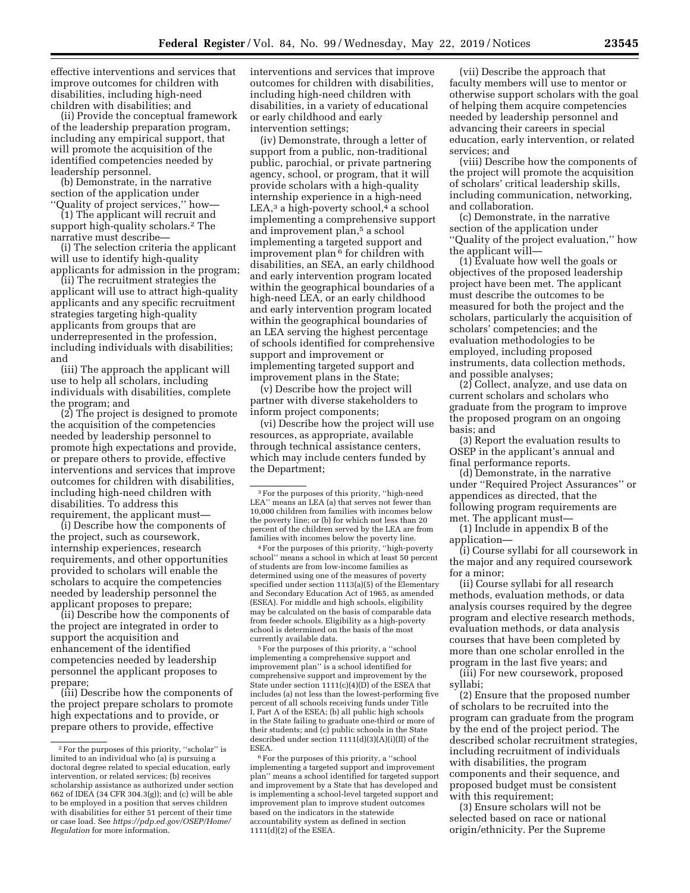effective interventions and services that improve outcomes for children with disabilities, including high-need children with disabilities; and

(ii) Provide the conceptual framework of the leadership preparation program, including any empirical support, that will promote the acquisition of the identified competencies needed by leadership personnel.

(b) Demonstrate, in the narrative section of the application under ''Quality of project services,'' how—

(1) The applicant will recruit and support high-quality scholars.2 The narrative must describe—

(i) The selection criteria the applicant will use to identify high-quality applicants for admission in the program;

(ii) The recruitment strategies the applicant will use to attract high-quality applicants and any specific recruitment strategies targeting high-quality applicants from groups that are underrepresented in the profession, including individuals with disabilities; and

(iii) The approach the applicant will use to help all scholars, including individuals with disabilities, complete the program; and

(2) The project is designed to promote the acquisition of the competencies needed by leadership personnel to promote high expectations and provide, or prepare others to provide, effective interventions and services that improve outcomes for children with disabilities, including high-need children with disabilities. To address this requirement, the applicant must—

(i) Describe how the components of the project, such as coursework, internship experiences, research requirements, and other opportunities provided to scholars will enable the scholars to acquire the competencies needed by leadership personnel the applicant proposes to prepare;

(ii) Describe how the components of the project are integrated in order to support the acquisition and enhancement of the identified competencies needed by leadership personnel the applicant proposes to prepare;

(iii) Describe how the components of the project prepare scholars to promote high expectations and to provide, or prepare others to provide, effective

interventions and services that improve outcomes for children with disabilities, including high-need children with disabilities, in a variety of educational or early childhood and early intervention settings;

(iv) Demonstrate, through a letter of support from a public, non-traditional public, parochial, or private partnering agency, school, or program, that it will provide scholars with a high-quality internship experience in a high-need  $LEA$ ,<sup>3</sup> a high-poverty school,<sup>4</sup> a school implementing a comprehensive support and improvement plan,<sup>5</sup> a school implementing a targeted support and improvement plan  $\frac{6}{9}$  for children with disabilities, an SEA, an early childhood and early intervention program located within the geographical boundaries of a high-need LEA, or an early childhood and early intervention program located within the geographical boundaries of an LEA serving the highest percentage of schools identified for comprehensive support and improvement or implementing targeted support and improvement plans in the State;

(v) Describe how the project will partner with diverse stakeholders to inform project components;

(vi) Describe how the project will use resources, as appropriate, available through technical assistance centers, which may include centers funded by the Department;

4For the purposes of this priority, ''high-poverty school'' means a school in which at least 50 percent of students are from low-income families as determined using one of the measures of poverty specified under section 1113(a)(5) of the Elementary and Secondary Education Act of 1965, as amended (ESEA). For middle and high schools, eligibility may be calculated on the basis of comparable data from feeder schools. Eligibility as a high-poverty school is determined on the basis of the most currently available data.

5For the purposes of this priority, a ''school implementing a comprehensive support and improvement plan'' is a school identified for comprehensive support and improvement by the State under section  $1111(c)(4)(D)$  of the ESEA that includes (a) not less than the lowest-performing five percent of all schools receiving funds under Title I, Part A of the ESEA; (b) all public high schools in the State failing to graduate one-third or more of their students; and (c) public schools in the State described under section 1111(d)(3)(A)(i)(II) of the ESEA.

<sup>6</sup> For the purposes of this priority, a "school implementing a targeted support and improvement plan'' means a school identified for targeted support and improvement by a State that has developed and is implementing a school-level targeted support and improvement plan to improve student outcomes based on the indicators in the statewide accountability system as defined in section 1111(d)(2) of the ESEA.

(vii) Describe the approach that faculty members will use to mentor or otherwise support scholars with the goal of helping them acquire competencies needed by leadership personnel and advancing their careers in special education, early intervention, or related services; and

(viii) Describe how the components of the project will promote the acquisition of scholars' critical leadership skills, including communication, networking, and collaboration.

(c) Demonstrate, in the narrative section of the application under ''Quality of the project evaluation,'' how the applicant will—

(1) Evaluate how well the goals or objectives of the proposed leadership project have been met. The applicant must describe the outcomes to be measured for both the project and the scholars, particularly the acquisition of scholars' competencies; and the evaluation methodologies to be employed, including proposed instruments, data collection methods, and possible analyses;

(2) Collect, analyze, and use data on current scholars and scholars who graduate from the program to improve the proposed program on an ongoing basis; and

(3) Report the evaluation results to OSEP in the applicant's annual and final performance reports.

(d) Demonstrate, in the narrative under ''Required Project Assurances'' or appendices as directed, that the following program requirements are met. The applicant must—

(1) Include in appendix B of the application—

(i) Course syllabi for all coursework in the major and any required coursework for a minor;

(ii) Course syllabi for all research methods, evaluation methods, or data analysis courses required by the degree program and elective research methods, evaluation methods, or data analysis courses that have been completed by more than one scholar enrolled in the program in the last five years; and

(iii) For new coursework, proposed syllabi;

(2) Ensure that the proposed number of scholars to be recruited into the program can graduate from the program by the end of the project period. The described scholar recruitment strategies, including recruitment of individuals with disabilities, the program components and their sequence, and proposed budget must be consistent with this requirement;

(3) Ensure scholars will not be selected based on race or national origin/ethnicity. Per the Supreme

<sup>2</sup>For the purposes of this priority, ''scholar'' is limited to an individual who (a) is pursuing a doctoral degree related to special education, early intervention, or related services; (b) receives scholarship assistance as authorized under section 662 of IDEA (34 CFR 304.3(g)); and (c) will be able to be employed in a position that serves children with disabilities for either 51 percent of their time or case load. See *[https://pdp.ed.gov/OSEP/Home/](https://pdp.ed.gov/OSEP/Home/Regulation)  [Regulation](https://pdp.ed.gov/OSEP/Home/Regulation)* for more information.

<sup>3</sup>For the purposes of this priority, ''high-need LEA'' means an LEA (a) that serves not fewer than 10,000 children from families with incomes below the poverty line; or (b) for which not less than 20 percent of the children served by the LEA are from families with incomes below the poverty line.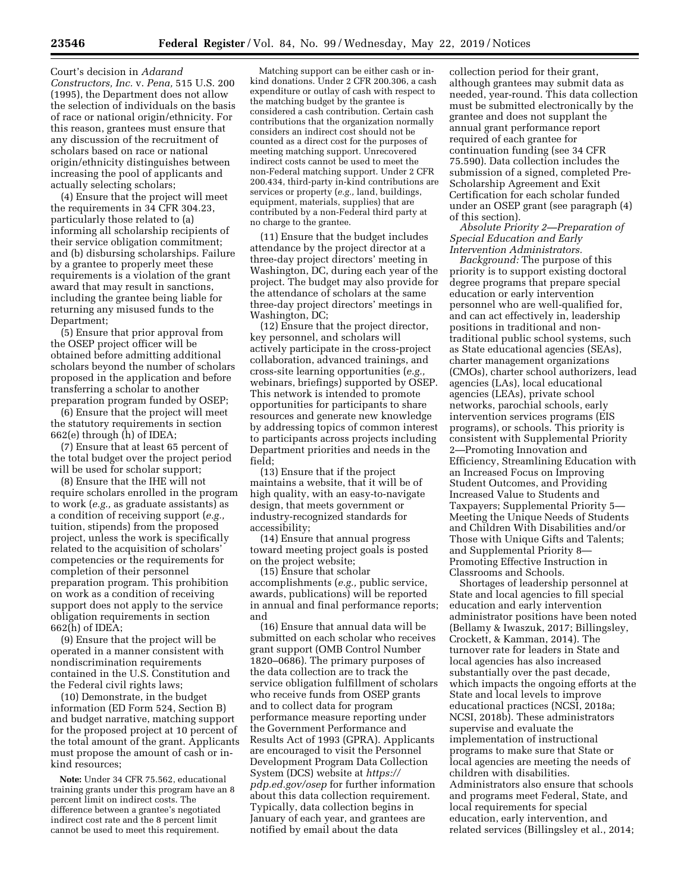Court's decision in *Adarand Constructors, Inc.* v. *Pena,* 515 U.S. 200 (1995), the Department does not allow the selection of individuals on the basis of race or national origin/ethnicity. For this reason, grantees must ensure that any discussion of the recruitment of scholars based on race or national origin/ethnicity distinguishes between increasing the pool of applicants and actually selecting scholars;

(4) Ensure that the project will meet the requirements in 34 CFR 304.23, particularly those related to (a) informing all scholarship recipients of their service obligation commitment; and (b) disbursing scholarships. Failure by a grantee to properly meet these requirements is a violation of the grant award that may result in sanctions, including the grantee being liable for returning any misused funds to the Department;

(5) Ensure that prior approval from the OSEP project officer will be obtained before admitting additional scholars beyond the number of scholars proposed in the application and before transferring a scholar to another preparation program funded by OSEP;

(6) Ensure that the project will meet the statutory requirements in section 662(e) through (h) of IDEA;

(7) Ensure that at least 65 percent of the total budget over the project period will be used for scholar support;

(8) Ensure that the IHE will not require scholars enrolled in the program to work (*e.g.,* as graduate assistants) as a condition of receiving support (*e.g.,*  tuition, stipends) from the proposed project, unless the work is specifically related to the acquisition of scholars' competencies or the requirements for completion of their personnel preparation program. This prohibition on work as a condition of receiving support does not apply to the service obligation requirements in section 662(h) of IDEA;

(9) Ensure that the project will be operated in a manner consistent with nondiscrimination requirements contained in the U.S. Constitution and the Federal civil rights laws;

(10) Demonstrate, in the budget information (ED Form 524, Section B) and budget narrative, matching support for the proposed project at 10 percent of the total amount of the grant. Applicants must propose the amount of cash or inkind resources;

**Note:** Under 34 CFR 75.562, educational training grants under this program have an 8 percent limit on indirect costs. The difference between a grantee's negotiated indirect cost rate and the 8 percent limit cannot be used to meet this requirement.

Matching support can be either cash or inkind donations. Under 2 CFR 200.306, a cash expenditure or outlay of cash with respect to the matching budget by the grantee is considered a cash contribution. Certain cash contributions that the organization normally considers an indirect cost should not be counted as a direct cost for the purposes of meeting matching support. Unrecovered indirect costs cannot be used to meet the non-Federal matching support. Under 2 CFR 200.434, third-party in-kind contributions are services or property (*e.g.,* land, buildings, equipment, materials, supplies) that are contributed by a non-Federal third party at no charge to the grantee.

(11) Ensure that the budget includes attendance by the project director at a three-day project directors' meeting in Washington, DC, during each year of the project. The budget may also provide for the attendance of scholars at the same three-day project directors' meetings in Washington, DC;

(12) Ensure that the project director, key personnel, and scholars will actively participate in the cross-project collaboration, advanced trainings, and cross-site learning opportunities (*e.g.,*  webinars, briefings) supported by OSEP. This network is intended to promote opportunities for participants to share resources and generate new knowledge by addressing topics of common interest to participants across projects including Department priorities and needs in the field;

(13) Ensure that if the project maintains a website, that it will be of high quality, with an easy-to-navigate design, that meets government or industry-recognized standards for accessibility;

(14) Ensure that annual progress toward meeting project goals is posted on the project website;

(15) Ensure that scholar accomplishments (*e.g.,* public service, awards, publications) will be reported in annual and final performance reports; and

(16) Ensure that annual data will be submitted on each scholar who receives grant support (OMB Control Number 1820–0686). The primary purposes of the data collection are to track the service obligation fulfillment of scholars who receive funds from OSEP grants and to collect data for program performance measure reporting under the Government Performance and Results Act of 1993 (GPRA). Applicants are encouraged to visit the Personnel Development Program Data Collection System (DCS) website at *[https://](https://pdp.ed.gov/osep) [pdp.ed.gov/osep](https://pdp.ed.gov/osep)* for further information about this data collection requirement. Typically, data collection begins in January of each year, and grantees are notified by email about the data

collection period for their grant, although grantees may submit data as needed, year-round. This data collection must be submitted electronically by the grantee and does not supplant the annual grant performance report required of each grantee for continuation funding (see 34 CFR 75.590). Data collection includes the submission of a signed, completed Pre-Scholarship Agreement and Exit Certification for each scholar funded under an OSEP grant (see paragraph (4) of this section).

*Absolute Priority 2—Preparation of Special Education and Early Intervention Administrators.* 

*Background:* The purpose of this priority is to support existing doctoral degree programs that prepare special education or early intervention personnel who are well-qualified for, and can act effectively in, leadership positions in traditional and nontraditional public school systems, such as State educational agencies (SEAs), charter management organizations (CMOs), charter school authorizers, lead agencies (LAs), local educational agencies (LEAs), private school networks, parochial schools, early intervention services programs (EIS programs), or schools. This priority is consistent with Supplemental Priority 2—Promoting Innovation and Efficiency, Streamlining Education with an Increased Focus on Improving Student Outcomes, and Providing Increased Value to Students and Taxpayers; Supplemental Priority 5— Meeting the Unique Needs of Students and Children With Disabilities and/or Those with Unique Gifts and Talents; and Supplemental Priority 8— Promoting Effective Instruction in Classrooms and Schools.

Shortages of leadership personnel at State and local agencies to fill special education and early intervention administrator positions have been noted (Bellamy & Iwaszuk, 2017; Billingsley, Crockett, & Kamman, 2014). The turnover rate for leaders in State and local agencies has also increased substantially over the past decade, which impacts the ongoing efforts at the State and local levels to improve educational practices (NCSI, 2018a; NCSI, 2018b). These administrators supervise and evaluate the implementation of instructional programs to make sure that State or local agencies are meeting the needs of children with disabilities. Administrators also ensure that schools and programs meet Federal, State, and local requirements for special education, early intervention, and related services (Billingsley et al., 2014;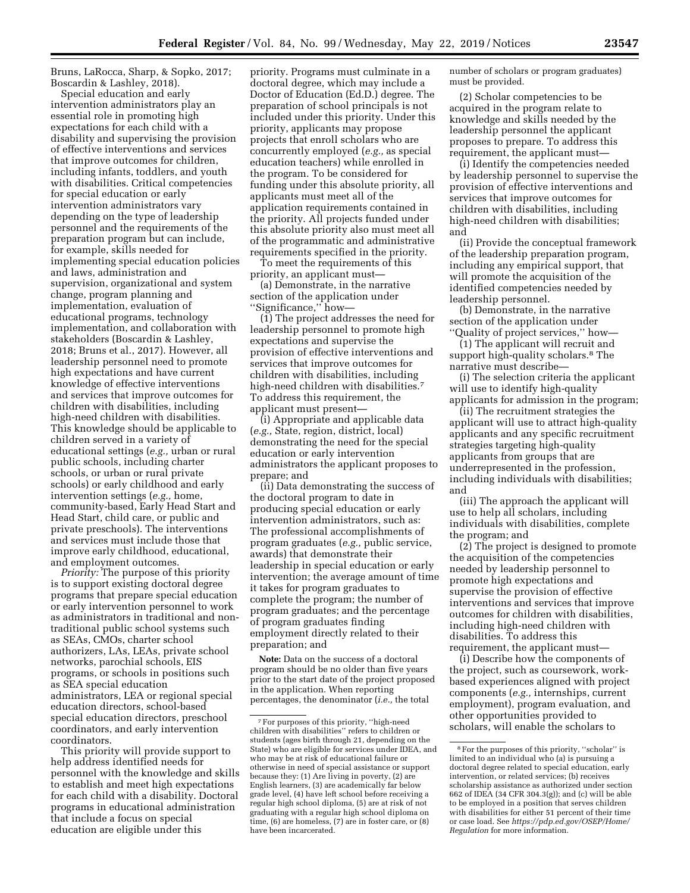Bruns, LaRocca, Sharp, & Sopko, 2017; Boscardin & Lashley, 2018).

Special education and early intervention administrators play an essential role in promoting high expectations for each child with a disability and supervising the provision of effective interventions and services that improve outcomes for children, including infants, toddlers, and youth with disabilities. Critical competencies for special education or early intervention administrators vary depending on the type of leadership personnel and the requirements of the preparation program but can include, for example, skills needed for implementing special education policies and laws, administration and supervision, organizational and system change, program planning and implementation, evaluation of educational programs, technology implementation, and collaboration with stakeholders (Boscardin & Lashley, 2018; Bruns et al., 2017). However, all leadership personnel need to promote high expectations and have current knowledge of effective interventions and services that improve outcomes for children with disabilities, including high-need children with disabilities. This knowledge should be applicable to children served in a variety of educational settings (*e.g.,* urban or rural public schools, including charter schools, or urban or rural private schools) or early childhood and early intervention settings (*e.g.,* home, community-based, Early Head Start and Head Start, child care, or public and private preschools). The interventions and services must include those that improve early childhood, educational, and employment outcomes.

*Priority:* The purpose of this priority is to support existing doctoral degree programs that prepare special education or early intervention personnel to work as administrators in traditional and nontraditional public school systems such as SEAs, CMOs, charter school authorizers, LAs, LEAs, private school networks, parochial schools, EIS programs, or schools in positions such as SEA special education administrators, LEA or regional special education directors, school-based special education directors, preschool coordinators, and early intervention coordinators.

This priority will provide support to help address identified needs for personnel with the knowledge and skills to establish and meet high expectations for each child with a disability. Doctoral programs in educational administration that include a focus on special education are eligible under this

priority. Programs must culminate in a doctoral degree, which may include a Doctor of Education (Ed.D.) degree. The preparation of school principals is not included under this priority. Under this priority, applicants may propose projects that enroll scholars who are concurrently employed (*e.g.,* as special education teachers) while enrolled in the program. To be considered for funding under this absolute priority, all applicants must meet all of the application requirements contained in the priority. All projects funded under this absolute priority also must meet all of the programmatic and administrative requirements specified in the priority.

To meet the requirements of this priority, an applicant must—

(a) Demonstrate, in the narrative section of the application under ''Significance,'' how—

(1) The project addresses the need for leadership personnel to promote high expectations and supervise the provision of effective interventions and services that improve outcomes for children with disabilities, including high-need children with disabilities.<sup>7</sup> To address this requirement, the applicant must present—

(i) Appropriate and applicable data (*e.g.,* State, region, district, local) demonstrating the need for the special education or early intervention administrators the applicant proposes to prepare; and

(ii) Data demonstrating the success of the doctoral program to date in producing special education or early intervention administrators, such as: The professional accomplishments of program graduates (*e.g.,* public service, awards) that demonstrate their leadership in special education or early intervention; the average amount of time it takes for program graduates to complete the program; the number of program graduates; and the percentage of program graduates finding employment directly related to their preparation; and

**Note:** Data on the success of a doctoral program should be no older than five years prior to the start date of the project proposed in the application. When reporting percentages, the denominator (*i.e.,* the total

number of scholars or program graduates) must be provided.

(2) Scholar competencies to be acquired in the program relate to knowledge and skills needed by the leadership personnel the applicant proposes to prepare. To address this requirement, the applicant must—

(i) Identify the competencies needed by leadership personnel to supervise the provision of effective interventions and services that improve outcomes for children with disabilities, including high-need children with disabilities; and

(ii) Provide the conceptual framework of the leadership preparation program, including any empirical support, that will promote the acquisition of the identified competencies needed by leadership personnel.

(b) Demonstrate, in the narrative section of the application under ''Quality of project services,'' how—

(1) The applicant will recruit and support high-quality scholars.<sup>8</sup> The narrative must describe—

(i) The selection criteria the applicant will use to identify high-quality applicants for admission in the program;

(ii) The recruitment strategies the applicant will use to attract high-quality applicants and any specific recruitment strategies targeting high-quality applicants from groups that are underrepresented in the profession, including individuals with disabilities; and

(iii) The approach the applicant will use to help all scholars, including individuals with disabilities, complete the program; and

(2) The project is designed to promote the acquisition of the competencies needed by leadership personnel to promote high expectations and supervise the provision of effective interventions and services that improve outcomes for children with disabilities, including high-need children with disabilities. To address this requirement, the applicant must—

(i) Describe how the components of the project, such as coursework, workbased experiences aligned with project components (*e.g.,* internships, current employment), program evaluation, and other opportunities provided to scholars, will enable the scholars to

<sup>7</sup>For purposes of this priority, ''high-need children with disabilities'' refers to children or students (ages birth through 21, depending on the State) who are eligible for services under IDEA, and who may be at risk of educational failure or otherwise in need of special assistance or support because they: (1) Are living in poverty, (2) are English learners, (3) are academically far below grade level, (4) have left school before receiving a regular high school diploma, (5) are at risk of not graduating with a regular high school diploma on time, (6) are homeless, (7) are in foster care, or (8) have been incarcerated.

<sup>8</sup>For the purposes of this priority, ''scholar'' is limited to an individual who (a) is pursuing a doctoral degree related to special education, early intervention, or related services; (b) receives scholarship assistance as authorized under section 662 of IDEA (34 CFR 304.3(g)); and (c) will be able to be employed in a position that serves children with disabilities for either 51 percent of their time or case load. See *[https://pdp.ed.gov/OSEP/Home/](https://pdp.ed.gov/OSEP/Home/Regulation)  [Regulation](https://pdp.ed.gov/OSEP/Home/Regulation)* for more information.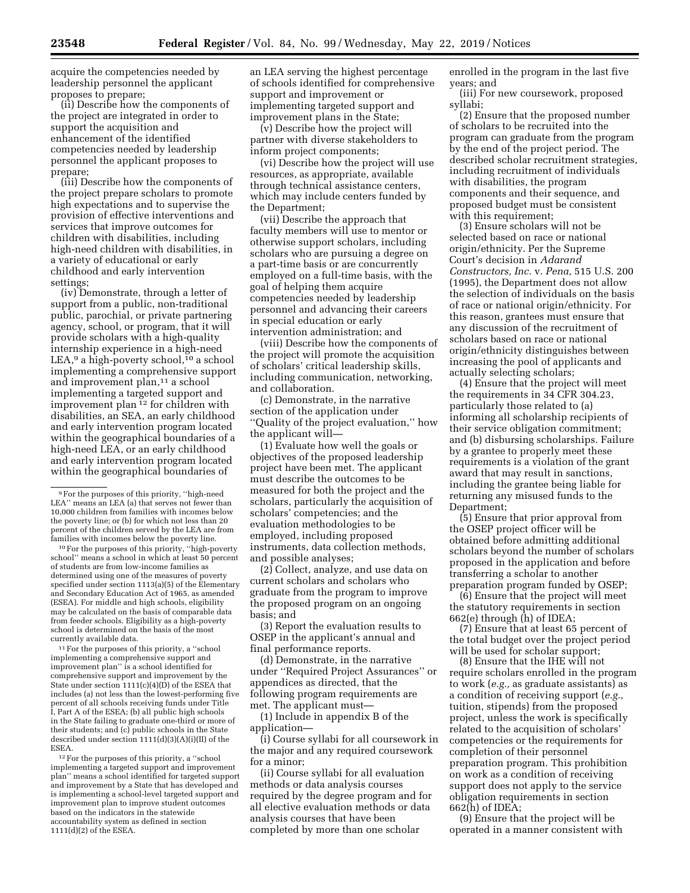acquire the competencies needed by leadership personnel the applicant proposes to prepare;

(ii) Describe how the components of the project are integrated in order to support the acquisition and enhancement of the identified competencies needed by leadership personnel the applicant proposes to prepare;

(iii) Describe how the components of the project prepare scholars to promote high expectations and to supervise the provision of effective interventions and services that improve outcomes for children with disabilities, including high-need children with disabilities, in a variety of educational or early childhood and early intervention settings;

(iv) Demonstrate, through a letter of support from a public, non-traditional public, parochial, or private partnering agency, school, or program, that it will provide scholars with a high-quality internship experience in a high-need LEA,<sup>9</sup> a high-poverty school,<sup>10</sup> a school implementing a comprehensive support and improvement plan,<sup>11</sup> a school implementing a targeted support and improvement plan 12 for children with disabilities, an SEA, an early childhood and early intervention program located within the geographical boundaries of a high-need LEA, or an early childhood and early intervention program located within the geographical boundaries of

10For the purposes of this priority, ''high-poverty school'' means a school in which at least 50 percent of students are from low-income families as determined using one of the measures of poverty specified under section 1113(a)(5) of the Elementary and Secondary Education Act of 1965, as amended (ESEA). For middle and high schools, eligibility may be calculated on the basis of comparable data from feeder schools. Eligibility as a high-poverty school is determined on the basis of the most currently available data.

<sup>11</sup> For the purposes of this priority, a "school implementing a comprehensive support and improvement plan'' is a school identified for comprehensive support and improvement by the State under section  $1111(c)(4)(D)$  of the ESEA that includes (a) not less than the lowest-performing five percent of all schools receiving funds under Title I, Part A of the ESEA; (b) all public high schools in the State failing to graduate one-third or more of their students; and (c) public schools in the State described under section 1111(d)(3)(A)(i)(II) of the ESEA.

12For the purposes of this priority, a ''school implementing a targeted support and improvement plan'' means a school identified for targeted support and improvement by a State that has developed and is implementing a school-level targeted support and improvement plan to improve student outcomes based on the indicators in the statewide accountability system as defined in section 1111(d)(2) of the ESEA.

an LEA serving the highest percentage of schools identified for comprehensive support and improvement or implementing targeted support and improvement plans in the State;

(v) Describe how the project will partner with diverse stakeholders to inform project components;

(vi) Describe how the project will use resources, as appropriate, available through technical assistance centers, which may include centers funded by the Department;

(vii) Describe the approach that faculty members will use to mentor or otherwise support scholars, including scholars who are pursuing a degree on a part-time basis or are concurrently employed on a full-time basis, with the goal of helping them acquire competencies needed by leadership personnel and advancing their careers in special education or early intervention administration; and

(viii) Describe how the components of the project will promote the acquisition of scholars' critical leadership skills, including communication, networking, and collaboration.

(c) Demonstrate, in the narrative section of the application under ''Quality of the project evaluation,'' how the applicant will—

(1) Evaluate how well the goals or objectives of the proposed leadership project have been met. The applicant must describe the outcomes to be measured for both the project and the scholars, particularly the acquisition of scholars' competencies; and the evaluation methodologies to be employed, including proposed instruments, data collection methods, and possible analyses;

(2) Collect, analyze, and use data on current scholars and scholars who graduate from the program to improve the proposed program on an ongoing basis; and

(3) Report the evaluation results to OSEP in the applicant's annual and final performance reports.

(d) Demonstrate, in the narrative under ''Required Project Assurances'' or appendices as directed, that the following program requirements are met. The applicant must—

(1) Include in appendix B of the application—

(i) Course syllabi for all coursework in the major and any required coursework for a minor;

(ii) Course syllabi for all evaluation methods or data analysis courses required by the degree program and for all elective evaluation methods or data analysis courses that have been completed by more than one scholar

enrolled in the program in the last five years; and

(iii) For new coursework, proposed syllabi;

(2) Ensure that the proposed number of scholars to be recruited into the program can graduate from the program by the end of the project period. The described scholar recruitment strategies, including recruitment of individuals with disabilities, the program components and their sequence, and proposed budget must be consistent with this requirement;

(3) Ensure scholars will not be selected based on race or national origin/ethnicity. Per the Supreme Court's decision in *Adarand Constructors, Inc.* v. *Pena,* 515 U.S. 200 (1995), the Department does not allow the selection of individuals on the basis of race or national origin/ethnicity. For this reason, grantees must ensure that any discussion of the recruitment of scholars based on race or national origin/ethnicity distinguishes between increasing the pool of applicants and actually selecting scholars;

(4) Ensure that the project will meet the requirements in 34 CFR 304.23, particularly those related to (a) informing all scholarship recipients of their service obligation commitment; and (b) disbursing scholarships. Failure by a grantee to properly meet these requirements is a violation of the grant award that may result in sanctions, including the grantee being liable for returning any misused funds to the Department;

(5) Ensure that prior approval from the OSEP project officer will be obtained before admitting additional scholars beyond the number of scholars proposed in the application and before transferring a scholar to another preparation program funded by OSEP;

(6) Ensure that the project will meet the statutory requirements in section 662(e) through (h) of IDEA;

(7) Ensure that at least 65 percent of the total budget over the project period will be used for scholar support;

(8) Ensure that the IHE will not require scholars enrolled in the program to work (*e.g.,* as graduate assistants) as a condition of receiving support (*e.g.,*  tuition, stipends) from the proposed project, unless the work is specifically related to the acquisition of scholars' competencies or the requirements for completion of their personnel preparation program. This prohibition on work as a condition of receiving support does not apply to the service obligation requirements in section 662(h) of IDEA;

(9) Ensure that the project will be operated in a manner consistent with

<sup>9</sup>For the purposes of this priority, ''high-need LEA" means an LEA (a) that serves not fewer than 10,000 children from families with incomes below the poverty line; or (b) for which not less than 20 percent of the children served by the LEA are from families with incomes below the poverty line.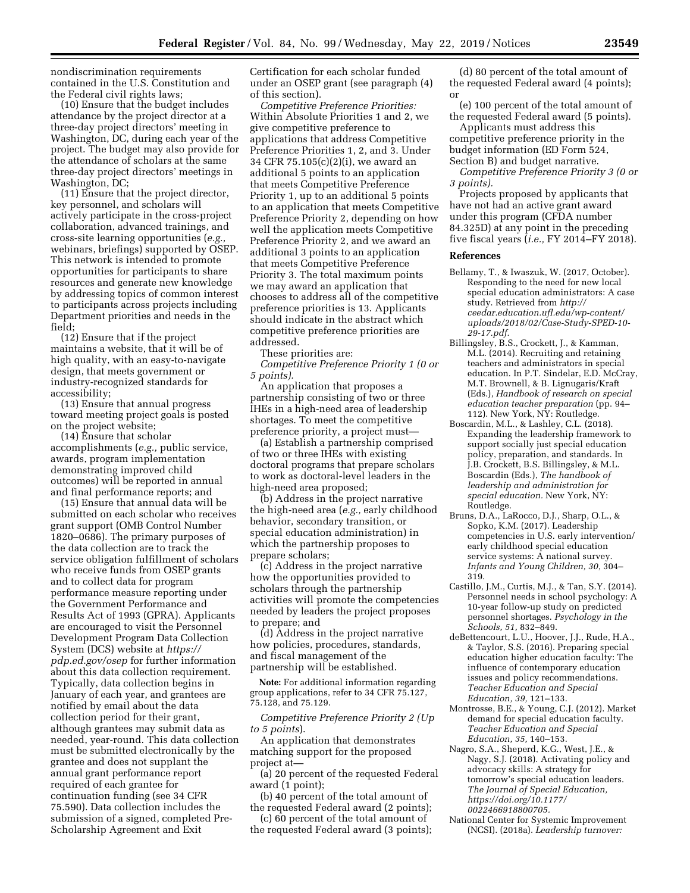nondiscrimination requirements contained in the U.S. Constitution and the Federal civil rights laws;

(10) Ensure that the budget includes attendance by the project director at a three-day project directors' meeting in Washington, DC, during each year of the project. The budget may also provide for the attendance of scholars at the same three-day project directors' meetings in Washington, DC;

(11) Ensure that the project director, key personnel, and scholars will actively participate in the cross-project collaboration, advanced trainings, and cross-site learning opportunities (*e.g.,*  webinars, briefings) supported by OSEP. This network is intended to promote opportunities for participants to share resources and generate new knowledge by addressing topics of common interest to participants across projects including Department priorities and needs in the field;

(12) Ensure that if the project maintains a website, that it will be of high quality, with an easy-to-navigate design, that meets government or industry-recognized standards for accessibility;

(13) Ensure that annual progress toward meeting project goals is posted on the project website;

(14) Ensure that scholar accomplishments (*e.g.,* public service, awards, program implementation demonstrating improved child outcomes) will be reported in annual and final performance reports; and

(15) Ensure that annual data will be submitted on each scholar who receives grant support (OMB Control Number 1820–0686). The primary purposes of the data collection are to track the service obligation fulfillment of scholars who receive funds from OSEP grants and to collect data for program performance measure reporting under the Government Performance and Results Act of 1993 (GPRA). Applicants are encouraged to visit the Personnel Development Program Data Collection System (DCS) website at *[https://](https://pdp.ed.gov/osep) [pdp.ed.gov/osep](https://pdp.ed.gov/osep)* for further information about this data collection requirement. Typically, data collection begins in January of each year, and grantees are notified by email about the data collection period for their grant, although grantees may submit data as needed, year-round. This data collection must be submitted electronically by the grantee and does not supplant the annual grant performance report required of each grantee for continuation funding (see 34 CFR 75.590). Data collection includes the submission of a signed, completed Pre-Scholarship Agreement and Exit

Certification for each scholar funded under an OSEP grant (see paragraph (4) of this section).

*Competitive Preference Priorities:*  Within Absolute Priorities 1 and 2, we give competitive preference to applications that address Competitive Preference Priorities 1, 2, and 3. Under 34 CFR 75.105(c)(2)(i), we award an additional 5 points to an application that meets Competitive Preference Priority 1, up to an additional 5 points to an application that meets Competitive Preference Priority 2, depending on how well the application meets Competitive Preference Priority 2, and we award an additional 3 points to an application that meets Competitive Preference Priority 3. The total maximum points we may award an application that chooses to address all of the competitive preference priorities is 13. Applicants should indicate in the abstract which competitive preference priorities are addressed.

These priorities are:

*Competitive Preference Priority 1 (0 or 5 points).* 

An application that proposes a partnership consisting of two or three IHEs in a high-need area of leadership shortages. To meet the competitive preference priority, a project must—

(a) Establish a partnership comprised of two or three IHEs with existing doctoral programs that prepare scholars to work as doctoral-level leaders in the high-need area proposed;

(b) Address in the project narrative the high-need area (*e.g.,* early childhood behavior, secondary transition, or special education administration) in which the partnership proposes to prepare scholars;

(c) Address in the project narrative how the opportunities provided to scholars through the partnership activities will promote the competencies needed by leaders the project proposes to prepare; and

(d) Address in the project narrative how policies, procedures, standards, and fiscal management of the partnership will be established.

**Note:** For additional information regarding group applications, refer to 34 CFR 75.127, 75.128, and 75.129.

*Competitive Preference Priority 2 (Up to 5 points*).

An application that demonstrates matching support for the proposed project at—

(a) 20 percent of the requested Federal award (1 point);

(b) 40 percent of the total amount of the requested Federal award (2 points);

(c) 60 percent of the total amount of the requested Federal award (3 points);

(d) 80 percent of the total amount of the requested Federal award (4 points); or

(e) 100 percent of the total amount of the requested Federal award (5 points).

Applicants must address this competitive preference priority in the budget information (ED Form 524, Section B) and budget narrative.

*Competitive Preference Priority 3 (0 or 3 points).* 

Projects proposed by applicants that have not had an active grant award under this program (CFDA number 84.325D) at any point in the preceding five fiscal years (*i.e.,* FY 2014–FY 2018).

#### **References**

- Bellamy, T., & Iwaszuk, W. (2017, October). Responding to the need for new local special education administrators: A case study. Retrieved from *[http://](http://ceedar.education.ufl.edu/wp-content/uploads/2018/02/Case-Study-SPED-10-29-17.pdf) [ceedar.education.ufl.edu/wp-content/](http://ceedar.education.ufl.edu/wp-content/uploads/2018/02/Case-Study-SPED-10-29-17.pdf) [uploads/2018/02/Case-Study-SPED-10-](http://ceedar.education.ufl.edu/wp-content/uploads/2018/02/Case-Study-SPED-10-29-17.pdf) [29-17.pdf.](http://ceedar.education.ufl.edu/wp-content/uploads/2018/02/Case-Study-SPED-10-29-17.pdf)*
- Billingsley, B.S., Crockett, J., & Kamman, M.L. (2014). Recruiting and retaining teachers and administrators in special education. In P.T. Sindelar, E.D. McCray, M.T. Brownell, & B. Lignugaris/Kraft (Eds.), *Handbook of research on special education teacher preparation* (pp. 94– 112). New York, NY: Routledge.
- Boscardin, M.L., & Lashley, C.L. (2018). Expanding the leadership framework to support socially just special education policy, preparation, and standards. In J.B. Crockett, B.S. Billingsley, & M.L. Boscardin (Eds.), *The handbook of leadership and administration for special education.* New York, NY: Routledge.
- Bruns, D.A., LaRocco, D.J., Sharp, O.L., & Sopko, K.M. (2017). Leadership competencies in U.S. early intervention/ early childhood special education service systems: A national survey. *Infants and Young Children, 30,* 304– 319.
- Castillo, J.M., Curtis, M.J., & Tan, S.Y. (2014). Personnel needs in school psychology: A 10-year follow-up study on predicted personnel shortages. *Psychology in the Schools, 51,* 832–849.
- deBettencourt, L.U., Hoover, J.J., Rude, H.A., & Taylor, S.S. (2016). Preparing special education higher education faculty: The influence of contemporary education issues and policy recommendations. *Teacher Education and Special Education, 39,* 121–133.
- Montrosse, B.E., & Young, C.J. (2012). Market demand for special education faculty. *Teacher Education and Special Education, 35,* 140–153.
- Nagro, S.A., Sheperd, K.G., West, J.E., & Nagy, S.J. (2018). Activating policy and advocacy skills: A strategy for tomorrow's special education leaders. *The Journal of Special Education, [https://doi.org/10.1177/](https://doi.org/10.1177/0022466918800705)  [0022466918800705.](https://doi.org/10.1177/0022466918800705)*
- National Center for Systemic Improvement (NCSI). (2018a). *Leadership turnover:*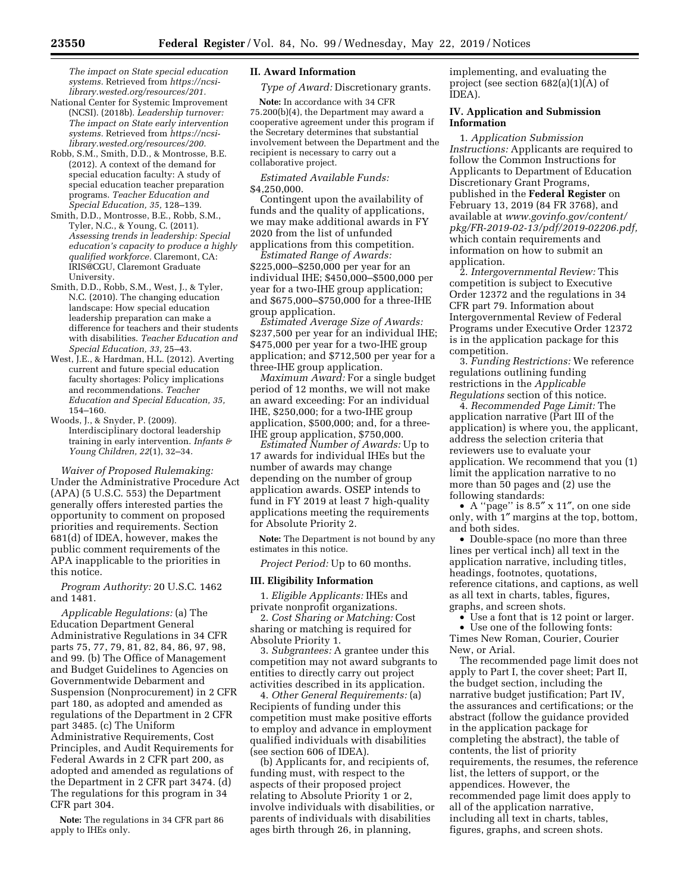*The impact on State special education systems.* Retrieved from *[https://ncsi](https://ncsi-library.wested.org/resources/201)[library.wested.org/resources/201.](https://ncsi-library.wested.org/resources/201)* 

National Center for Systemic Improvement (NCSI). (2018b). *Leadership turnover: The impact on State early intervention systems.* Retrieved from *[https://ncsi](https://ncsi-library.wested.org/resources/200)[library.wested.org/resources/200.](https://ncsi-library.wested.org/resources/200)* 

- Robb, S.M., Smith, D.D., & Montrosse, B.E. (2012). A context of the demand for special education faculty: A study of special education teacher preparation programs. *Teacher Education and Special Education, 35,* 128–139.
- Smith, D.D., Montrosse, B.E., Robb, S.M., Tyler, N.C., & Young, C. (2011). *Assessing trends in leadership: Special education's capacity to produce a highly qualified workforce.* Claremont, CA: IRIS@CGU, Claremont Graduate University.
- Smith, D.D., Robb, S.M., West, J., & Tyler, N.C. (2010). The changing education landscape: How special education leadership preparation can make a difference for teachers and their students with disabilities. *Teacher Education and Special Education, 33,* 25–43.
- West, J.E., & Hardman, H.L. (2012). Averting current and future special education faculty shortages: Policy implications and recommendations. *Teacher Education and Special Education, 35,*  154–160.
- Woods, J., & Snyder, P. (2009). Interdisciplinary doctoral leadership training in early intervention. *Infants & Young Children, 22*(1), 32–34.

*Waiver of Proposed Rulemaking:*  Under the Administrative Procedure Act (APA) (5 U.S.C. 553) the Department generally offers interested parties the opportunity to comment on proposed priorities and requirements. Section 681(d) of IDEA, however, makes the public comment requirements of the APA inapplicable to the priorities in this notice.

*Program Authority:* 20 U.S.C. 1462 and 1481.

*Applicable Regulations:* (a) The Education Department General Administrative Regulations in 34 CFR parts 75, 77, 79, 81, 82, 84, 86, 97, 98, and 99. (b) The Office of Management and Budget Guidelines to Agencies on Governmentwide Debarment and Suspension (Nonprocurement) in 2 CFR part 180, as adopted and amended as regulations of the Department in 2 CFR part 3485. (c) The Uniform Administrative Requirements, Cost Principles, and Audit Requirements for Federal Awards in 2 CFR part 200, as adopted and amended as regulations of the Department in 2 CFR part 3474. (d) The regulations for this program in 34 CFR part 304.

**Note:** The regulations in 34 CFR part 86 apply to IHEs only.

# **II. Award Information**

*Type of Award:* Discretionary grants.

**Note:** In accordance with 34 CFR 75.200(b)(4), the Department may award a cooperative agreement under this program if the Secretary determines that substantial involvement between the Department and the recipient is necessary to carry out a collaborative project.

*Estimated Available Funds:*  \$4,250,000.

Contingent upon the availability of funds and the quality of applications, we may make additional awards in FY 2020 from the list of unfunded applications from this competition.

*Estimated Range of Awards:*  \$225,000–\$250,000 per year for an individual IHE; \$450,000–\$500,000 per year for a two-IHE group application; and \$675,000–\$750,000 for a three-IHE group application.

*Estimated Average Size of Awards:*  \$237,500 per year for an individual IHE; \$475,000 per year for a two-IHE group application; and \$712,500 per year for a three-IHE group application.

*Maximum Award:* For a single budget period of 12 months, we will not make an award exceeding: For an individual IHE, \$250,000; for a two-IHE group application, \$500,000; and, for a three-IHE group application, \$750,000.

*Estimated Number of Awards:* Up to 17 awards for individual IHEs but the number of awards may change depending on the number of group application awards. OSEP intends to fund in FY 2019 at least 7 high-quality applications meeting the requirements for Absolute Priority 2.

**Note:** The Department is not bound by any estimates in this notice.

*Project Period:* Up to 60 months.

### **III. Eligibility Information**

1. *Eligible Applicants:* IHEs and private nonprofit organizations.

2. *Cost Sharing or Matching:* Cost sharing or matching is required for Absolute Priority 1.

3. *Subgrantees:* A grantee under this competition may not award subgrants to entities to directly carry out project activities described in its application.

4. *Other General Requirements:* (a) Recipients of funding under this competition must make positive efforts to employ and advance in employment qualified individuals with disabilities (see section 606 of IDEA).

(b) Applicants for, and recipients of, funding must, with respect to the aspects of their proposed project relating to Absolute Priority 1 or 2, involve individuals with disabilities, or parents of individuals with disabilities ages birth through 26, in planning,

implementing, and evaluating the project (see section 682(a)(1)(A) of IDEA).

### **IV. Application and Submission Information**

1. *Application Submission Instructions:* Applicants are required to follow the Common Instructions for Applicants to Department of Education Discretionary Grant Programs, published in the **Federal Register** on February 13, 2019 (84 FR 3768), and available at *[www.govinfo.gov/content/](http://www.govinfo.gov/content/pkg/FR-2019-02-13/pdf/2019-02206.pdf)  [pkg/FR-2019-02-13/pdf/2019-02206.pdf,](http://www.govinfo.gov/content/pkg/FR-2019-02-13/pdf/2019-02206.pdf)*  which contain requirements and information on how to submit an application.

2. *Intergovernmental Review:* This competition is subject to Executive Order 12372 and the regulations in 34 CFR part 79. Information about Intergovernmental Review of Federal Programs under Executive Order 12372 is in the application package for this competition.

3. *Funding Restrictions:* We reference regulations outlining funding restrictions in the *Applicable Regulations* section of this notice.

4. *Recommended Page Limit:* The application narrative (Part III of the application) is where you, the applicant, address the selection criteria that reviewers use to evaluate your application. We recommend that you (1) limit the application narrative to no more than 50 pages and (2) use the following standards:

 $\bullet\,$  A ''page'' is 8.5″ x 11″, on one side only, with 1″ margins at the top, bottom, and both sides.

• Double-space (no more than three lines per vertical inch) all text in the application narrative, including titles, headings, footnotes, quotations, reference citations, and captions, as well as all text in charts, tables, figures, graphs, and screen shots.

• Use a font that is 12 point or larger.

• Use one of the following fonts: Times New Roman, Courier, Courier New, or Arial.

The recommended page limit does not apply to Part I, the cover sheet; Part II, the budget section, including the narrative budget justification; Part IV, the assurances and certifications; or the abstract (follow the guidance provided in the application package for completing the abstract), the table of contents, the list of priority requirements, the resumes, the reference list, the letters of support, or the appendices. However, the recommended page limit does apply to all of the application narrative, including all text in charts, tables, figures, graphs, and screen shots.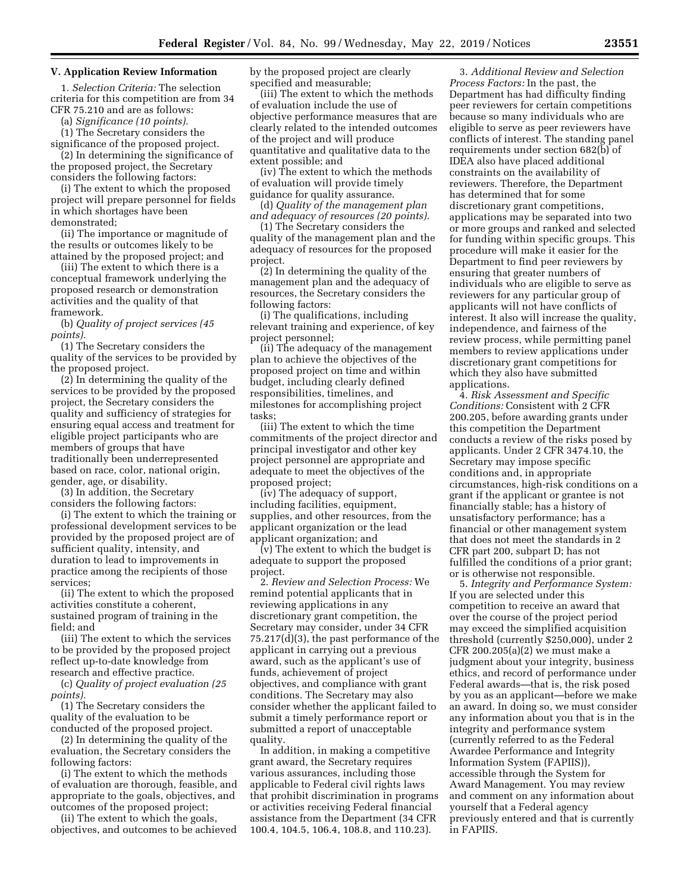# **V. Application Review Information**

1. *Selection Criteria:* The selection criteria for this competition are from 34 CFR 75.210 and are as follows:

(a) *Significance (10 points).* 

(1) The Secretary considers the

significance of the proposed project. (2) In determining the significance of the proposed project, the Secretary

considers the following factors: (i) The extent to which the proposed project will prepare personnel for fields in which shortages have been demonstrated;

(ii) The importance or magnitude of the results or outcomes likely to be attained by the proposed project; and

(iii) The extent to which there is a conceptual framework underlying the proposed research or demonstration activities and the quality of that framework.

(b) *Quality of project services (45 points).* 

(1) The Secretary considers the quality of the services to be provided by the proposed project.

(2) In determining the quality of the services to be provided by the proposed project, the Secretary considers the quality and sufficiency of strategies for ensuring equal access and treatment for eligible project participants who are members of groups that have traditionally been underrepresented based on race, color, national origin, gender, age, or disability.

(3) In addition, the Secretary considers the following factors:

(i) The extent to which the training or professional development services to be provided by the proposed project are of sufficient quality, intensity, and duration to lead to improvements in practice among the recipients of those services;

(ii) The extent to which the proposed activities constitute a coherent, sustained program of training in the field; and

(iii) The extent to which the services to be provided by the proposed project reflect up-to-date knowledge from research and effective practice.

(c) *Quality of project evaluation (25 points).* 

(1) The Secretary considers the quality of the evaluation to be conducted of the proposed project.

(2) In determining the quality of the evaluation, the Secretary considers the following factors:

(i) The extent to which the methods of evaluation are thorough, feasible, and appropriate to the goals, objectives, and outcomes of the proposed project;

(ii) The extent to which the goals, objectives, and outcomes to be achieved by the proposed project are clearly specified and measurable;

(iii) The extent to which the methods of evaluation include the use of objective performance measures that are clearly related to the intended outcomes of the project and will produce quantitative and qualitative data to the extent possible; and

(iv) The extent to which the methods of evaluation will provide timely guidance for quality assurance.

(d) *Quality of the management plan and adequacy of resources (20 points).* 

(1) The Secretary considers the quality of the management plan and the adequacy of resources for the proposed project.

(2) In determining the quality of the management plan and the adequacy of resources, the Secretary considers the following factors:

(i) The qualifications, including relevant training and experience, of key project personnel;

(ii) The adequacy of the management plan to achieve the objectives of the proposed project on time and within budget, including clearly defined responsibilities, timelines, and milestones for accomplishing project tasks;

(iii) The extent to which the time commitments of the project director and principal investigator and other key project personnel are appropriate and adequate to meet the objectives of the proposed project;

(iv) The adequacy of support, including facilities, equipment, supplies, and other resources, from the applicant organization or the lead applicant organization; and

(v) The extent to which the budget is adequate to support the proposed project.

2. *Review and Selection Process:* We remind potential applicants that in reviewing applications in any discretionary grant competition, the Secretary may consider, under 34 CFR 75.217(d)(3), the past performance of the applicant in carrying out a previous award, such as the applicant's use of funds, achievement of project objectives, and compliance with grant conditions. The Secretary may also consider whether the applicant failed to submit a timely performance report or submitted a report of unacceptable quality.

In addition, in making a competitive grant award, the Secretary requires various assurances, including those applicable to Federal civil rights laws that prohibit discrimination in programs or activities receiving Federal financial assistance from the Department (34 CFR 100.4, 104.5, 106.4, 108.8, and 110.23).

3. *Additional Review and Selection Process Factors:* In the past, the Department has had difficulty finding peer reviewers for certain competitions because so many individuals who are eligible to serve as peer reviewers have conflicts of interest. The standing panel requirements under section 682(b) of IDEA also have placed additional constraints on the availability of reviewers. Therefore, the Department has determined that for some discretionary grant competitions, applications may be separated into two or more groups and ranked and selected for funding within specific groups. This procedure will make it easier for the Department to find peer reviewers by ensuring that greater numbers of individuals who are eligible to serve as reviewers for any particular group of applicants will not have conflicts of interest. It also will increase the quality, independence, and fairness of the review process, while permitting panel members to review applications under discretionary grant competitions for which they also have submitted applications.

4. *Risk Assessment and Specific Conditions:* Consistent with 2 CFR 200.205, before awarding grants under this competition the Department conducts a review of the risks posed by applicants. Under 2 CFR 3474.10, the Secretary may impose specific conditions and, in appropriate circumstances, high-risk conditions on a grant if the applicant or grantee is not financially stable; has a history of unsatisfactory performance; has a financial or other management system that does not meet the standards in 2 CFR part 200, subpart D; has not fulfilled the conditions of a prior grant; or is otherwise not responsible.

5. *Integrity and Performance System:*  If you are selected under this competition to receive an award that over the course of the project period may exceed the simplified acquisition threshold (currently \$250,000), under 2 CFR 200.205(a)(2) we must make a judgment about your integrity, business ethics, and record of performance under Federal awards—that is, the risk posed by you as an applicant—before we make an award. In doing so, we must consider any information about you that is in the integrity and performance system (currently referred to as the Federal Awardee Performance and Integrity Information System (FAPIIS)), accessible through the System for Award Management. You may review and comment on any information about yourself that a Federal agency previously entered and that is currently in FAPIIS.